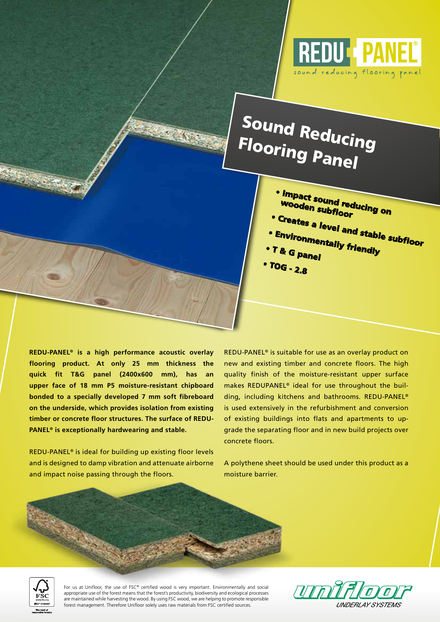

# Sound Reducing Flooring Panel

- Impact sound reducing on wooden subfloor
- 
- Creates a level and stable subfloor
- Environmentally friendly • T & G panel
- TOG 2.8

**REDU-PANEL® is a high performance acoustic overlay flooring product. At only 25 mm thickness the quick fit T&G panel (2400x600 mm), has an upper face of 18 mm P5 moisture-resistant chipboard bonded to a specially developed 7 mm soft fibreboard on the underside, which provides isolation from existing timber or concrete floor structures. The surface of REDU-PANEL® is exceptionally hardwearing and stable.**

REDU-PANEL® is ideal for building up existing floor levels and is designed to damp vibration and attenuate airborne and impact noise passing through the floors.

REDU-PANEL® is suitable for use as an overlay product on new and existing timber and concrete floors. The high quality finish of the moisture-resistant upper surface makes REDUPANEL® ideal for use throughout the building, including kitchens and bathrooms. REDU-PANEL® is used extensively in the refurbishment and conversion of existing buildings into flats and apartments to upgrade the separating floor and in new build projects over concrete floors.

A polythene sheet should be used under this product as a moisture barrier.



For us at Unifloor, the use of FSC® certified wood is very important. Environmentally and social appropriate use of the forest means that the forest's productivity, biodiversity and ecological processes are maintained while harvesting the wood. By using FSC wood, we are helping to promote responsible forest management. Therefore Unifloor solely uses raw materials from FSC certified sources.